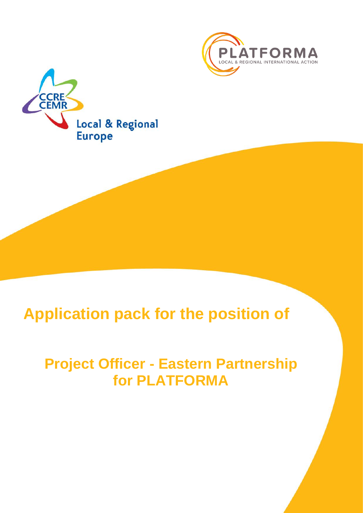



# **Application pack for the position of**

# **Project Officer - Eastern Partnership for PLATFORMA**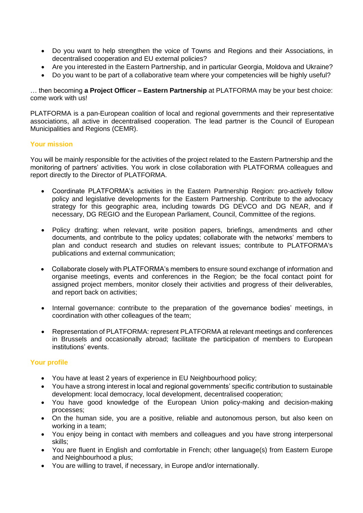- Do you want to help strengthen the voice of Towns and Regions and their Associations, in decentralised cooperation and EU external policies?
- Are you interested in the Eastern Partnership, and in particular Georgia, Moldova and Ukraine?
- Do you want to be part of a collaborative team where your competencies will be highly useful?

… then becoming **a Project Officer – Eastern Partnership** at PLATFORMA may be your best choice: come work with us!

PLATFORMA is a pan-European coalition of local and regional governments and their representative associations, all active in decentralised cooperation. The lead partner is the Council of European Municipalities and Regions (CEMR).

# **Your mission**

You will be mainly responsible for the activities of the project related to the Eastern Partnership and the monitoring of partners' activities. You work in close collaboration with PLATFORMA colleagues and report directly to the Director of PLATFORMA.

- Coordinate PLATFORMA's activities in the Eastern Partnership Region: pro-actively follow policy and legislative developments for the Eastern Partnership. Contribute to the advocacy strategy for this geographic area, including towards DG DEVCO and DG NEAR, and if necessary, DG REGIO and the European Parliament, Council, Committee of the regions.
- Policy drafting: when relevant, write position papers, briefings, amendments and other documents, and contribute to the policy updates; collaborate with the networks' members to plan and conduct research and studies on relevant issues; contribute to PLATFORMA's publications and external communication;
- Collaborate closely with PLATFORMA's members to ensure sound exchange of information and organise meetings, events and conferences in the Region; be the focal contact point for assigned project members, monitor closely their activities and progress of their deliverables, and report back on activities;
- Internal governance: contribute to the preparation of the governance bodies' meetings, in coordination with other colleagues of the team;
- Representation of PLATFORMA: represent PLATFORMA at relevant meetings and conferences in Brussels and occasionally abroad; facilitate the participation of members to European institutions' events.

# **Your profile**

- You have at least 2 years of experience in EU Neighbourhood policy;
- You have a strong interest in local and regional governments' specific contribution to sustainable development: local democracy, local development, decentralised cooperation;
- You have good knowledge of the European Union policy-making and decision-making processes;
- On the human side, you are a positive, reliable and autonomous person, but also keen on working in a team;
- You enjoy being in contact with members and colleagues and you have strong interpersonal skills;
- You are fluent in English and comfortable in French; other language(s) from Eastern Europe and Neighbourhood a plus;
- You are willing to travel, if necessary, in Europe and/or internationally.